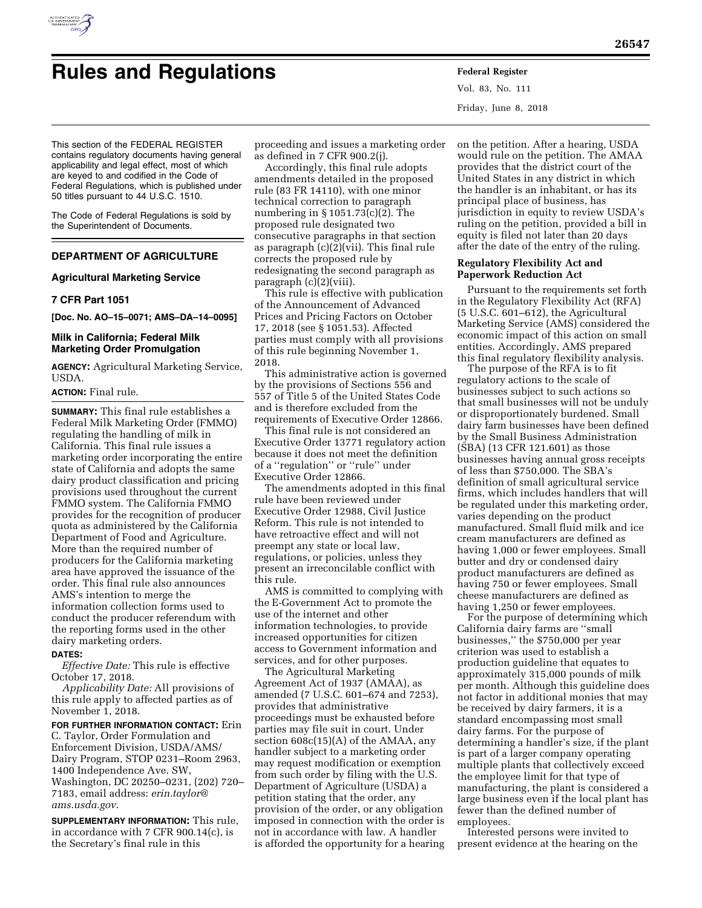

# **Rules and Regulations Federal Register**

Vol. 83, No. 111 Friday, June 8, 2018

This section of the FEDERAL REGISTER contains regulatory documents having general applicability and legal effect, most of which are keyed to and codified in the Code of Federal Regulations, which is published under 50 titles pursuant to 44 U.S.C. 1510.

The Code of Federal Regulations is sold by the Superintendent of Documents.

# **DEPARTMENT OF AGRICULTURE**

# **Agricultural Marketing Service**

# **7 CFR Part 1051**

**[Doc. No. AO–15–0071; AMS–DA–14–0095]** 

# **Milk in California; Federal Milk Marketing Order Promulgation**

**AGENCY:** Agricultural Marketing Service, USDA.

# **ACTION:** Final rule.

**SUMMARY:** This final rule establishes a Federal Milk Marketing Order (FMMO) regulating the handling of milk in California. This final rule issues a marketing order incorporating the entire state of California and adopts the same dairy product classification and pricing provisions used throughout the current FMMO system. The California FMMO provides for the recognition of producer quota as administered by the California Department of Food and Agriculture. More than the required number of producers for the California marketing area have approved the issuance of the order. This final rule also announces AMS's intention to merge the information collection forms used to conduct the producer referendum with the reporting forms used in the other dairy marketing orders.

# **DATES:**

*Effective Date:* This rule is effective October 17, 2018.

*Applicability Date:* All provisions of this rule apply to affected parties as of November 1, 2018.

**FOR FURTHER INFORMATION CONTACT:** Erin C. Taylor, Order Formulation and Enforcement Division, USDA/AMS/ Dairy Program, STOP 0231–Room 2963, 1400 Independence Ave. SW, Washington, DC 20250–0231, (202) 720– 7183, email address: *[erin.taylor@](mailto:erin.taylor@ams.usda.gov) [ams.usda.gov](mailto:erin.taylor@ams.usda.gov)*.

**SUPPLEMENTARY INFORMATION:** This rule, in accordance with 7 CFR 900.14(c), is the Secretary's final rule in this

proceeding and issues a marketing order as defined in 7 CFR 900.2(j).

Accordingly, this final rule adopts amendments detailed in the proposed rule (83 FR 14110), with one minor technical correction to paragraph numbering in § 1051.73(c)(2). The proposed rule designated two consecutive paragraphs in that section as paragraph (c)(2)(vii). This final rule corrects the proposed rule by redesignating the second paragraph as paragraph (c)(2)(viii).

This rule is effective with publication of the Announcement of Advanced Prices and Pricing Factors on October 17, 2018 (see § 1051.53). Affected parties must comply with all provisions of this rule beginning November 1, 2018.

This administrative action is governed by the provisions of Sections 556 and 557 of Title 5 of the United States Code and is therefore excluded from the requirements of Executive Order 12866.

This final rule is not considered an Executive Order 13771 regulatory action because it does not meet the definition of a ''regulation'' or ''rule'' under Executive Order 12866.

The amendments adopted in this final rule have been reviewed under Executive Order 12988, Civil Justice Reform. This rule is not intended to have retroactive effect and will not preempt any state or local law, regulations, or policies, unless they present an irreconcilable conflict with this rule.

AMS is committed to complying with the E-Government Act to promote the use of the internet and other information technologies, to provide increased opportunities for citizen access to Government information and services, and for other purposes.

The Agricultural Marketing Agreement Act of 1937 (AMAA), as amended (7 U.S.C. 601–674 and 7253), provides that administrative proceedings must be exhausted before parties may file suit in court. Under section 608c(15)(A) of the AMAA, any handler subject to a marketing order may request modification or exemption from such order by filing with the U.S. Department of Agriculture (USDA) a petition stating that the order, any provision of the order, or any obligation imposed in connection with the order is not in accordance with law. A handler is afforded the opportunity for a hearing

on the petition. After a hearing, USDA would rule on the petition. The AMAA provides that the district court of the United States in any district in which the handler is an inhabitant, or has its principal place of business, has jurisdiction in equity to review USDA's ruling on the petition, provided a bill in equity is filed not later than 20 days after the date of the entry of the ruling.

# **Regulatory Flexibility Act and Paperwork Reduction Act**

Pursuant to the requirements set forth in the Regulatory Flexibility Act (RFA) (5 U.S.C. 601–612), the Agricultural Marketing Service (AMS) considered the economic impact of this action on small entities. Accordingly, AMS prepared this final regulatory flexibility analysis.

The purpose of the RFA is to fit regulatory actions to the scale of businesses subject to such actions so that small businesses will not be unduly or disproportionately burdened. Small dairy farm businesses have been defined by the Small Business Administration (SBA) (13 CFR 121.601) as those businesses having annual gross receipts of less than \$750,000. The SBA's definition of small agricultural service firms, which includes handlers that will be regulated under this marketing order, varies depending on the product manufactured. Small fluid milk and ice cream manufacturers are defined as having 1,000 or fewer employees. Small butter and dry or condensed dairy product manufacturers are defined as having 750 or fewer employees. Small cheese manufacturers are defined as having 1,250 or fewer employees.

For the purpose of determining which California dairy farms are ''small businesses,'' the \$750,000 per year criterion was used to establish a production guideline that equates to approximately 315,000 pounds of milk per month. Although this guideline does not factor in additional monies that may be received by dairy farmers, it is a standard encompassing most small dairy farms. For the purpose of determining a handler's size, if the plant is part of a larger company operating multiple plants that collectively exceed the employee limit for that type of manufacturing, the plant is considered a large business even if the local plant has fewer than the defined number of employees.

Interested persons were invited to present evidence at the hearing on the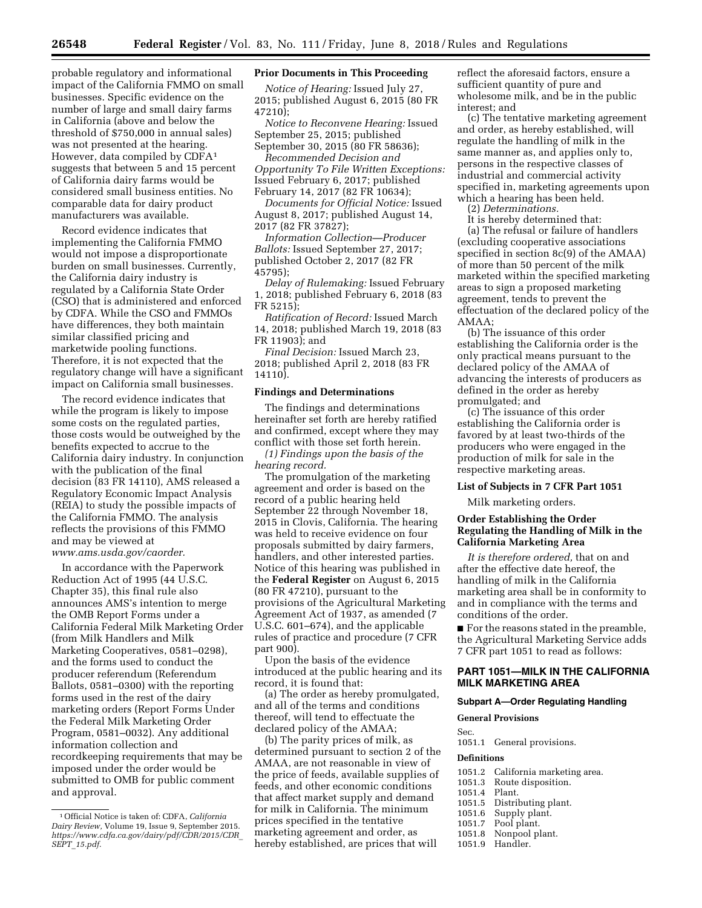probable regulatory and informational impact of the California FMMO on small businesses. Specific evidence on the number of large and small dairy farms in California (above and below the threshold of \$750,000 in annual sales) was not presented at the hearing. However, data compiled by CDFA1 suggests that between 5 and 15 percent of California dairy farms would be considered small business entities. No comparable data for dairy product manufacturers was available.

Record evidence indicates that implementing the California FMMO would not impose a disproportionate burden on small businesses. Currently, the California dairy industry is regulated by a California State Order (CSO) that is administered and enforced by CDFA. While the CSO and FMMOs have differences, they both maintain similar classified pricing and marketwide pooling functions. Therefore, it is not expected that the regulatory change will have a significant impact on California small businesses.

The record evidence indicates that while the program is likely to impose some costs on the regulated parties, those costs would be outweighed by the benefits expected to accrue to the California dairy industry. In conjunction with the publication of the final decision (83 FR 14110), AMS released a Regulatory Economic Impact Analysis (REIA) to study the possible impacts of the California FMMO. The analysis reflects the provisions of this FMMO and may be viewed at *[www.ams.usda.gov/caorder.](http://www.ams.usda.gov/caorder)* 

In accordance with the Paperwork Reduction Act of 1995 (44 U.S.C. Chapter 35), this final rule also announces AMS's intention to merge the OMB Report Forms under a California Federal Milk Marketing Order (from Milk Handlers and Milk Marketing Cooperatives, 0581–0298), and the forms used to conduct the producer referendum (Referendum Ballots, 0581–0300) with the reporting forms used in the rest of the dairy marketing orders (Report Forms Under the Federal Milk Marketing Order Program, 0581–0032). Any additional information collection and recordkeeping requirements that may be imposed under the order would be submitted to OMB for public comment and approval.

#### **Prior Documents in This Proceeding**

*Notice of Hearing:* Issued July 27, 2015; published August 6, 2015 (80 FR 47210);

*Notice to Reconvene Hearing:* Issued September 25, 2015; published September 30, 2015 (80 FR 58636);

*Recommended Decision and* 

*Opportunity To File Written Exceptions:*  Issued February 6, 2017; published February 14, 2017 (82 FR 10634);

*Documents for Official Notice:* Issued August 8, 2017; published August 14, 2017 (82 FR 37827);

*Information Collection—Producer Ballots:* Issued September 27, 2017; published October 2, 2017 (82 FR 45795);

*Delay of Rulemaking:* Issued February 1, 2018; published February 6, 2018 (83 FR 5215);

*Ratification of Record:* Issued March 14, 2018; published March 19, 2018 (83 FR 11903); and

*Final Decision:* Issued March 23, 2018; published April 2, 2018 (83 FR 14110).

#### **Findings and Determinations**

The findings and determinations hereinafter set forth are hereby ratified and confirmed, except where they may conflict with those set forth herein.

*(1) Findings upon the basis of the hearing record.* 

The promulgation of the marketing agreement and order is based on the record of a public hearing held September 22 through November 18, 2015 in Clovis, California. The hearing was held to receive evidence on four proposals submitted by dairy farmers, handlers, and other interested parties. Notice of this hearing was published in the **Federal Register** on August 6, 2015 (80 FR 47210), pursuant to the provisions of the Agricultural Marketing Agreement Act of 1937, as amended (7 U.S.C. 601–674), and the applicable rules of practice and procedure (7 CFR part 900).

Upon the basis of the evidence introduced at the public hearing and its record, it is found that:

(a) The order as hereby promulgated, and all of the terms and conditions thereof, will tend to effectuate the declared policy of the AMAA;

(b) The parity prices of milk, as determined pursuant to section 2 of the AMAA, are not reasonable in view of the price of feeds, available supplies of feeds, and other economic conditions that affect market supply and demand for milk in California. The minimum prices specified in the tentative marketing agreement and order, as hereby established, are prices that will

reflect the aforesaid factors, ensure a sufficient quantity of pure and wholesome milk, and be in the public interest; and

(c) The tentative marketing agreement and order, as hereby established, will regulate the handling of milk in the same manner as, and applies only to, persons in the respective classes of industrial and commercial activity specified in, marketing agreements upon which a hearing has been held.

(2) *Determinations.* 

It is hereby determined that:

(a) The refusal or failure of handlers (excluding cooperative associations specified in section 8c(9) of the AMAA) of more than 50 percent of the milk marketed within the specified marketing areas to sign a proposed marketing agreement, tends to prevent the effectuation of the declared policy of the AMAA;

(b) The issuance of this order establishing the California order is the only practical means pursuant to the declared policy of the AMAA of advancing the interests of producers as defined in the order as hereby promulgated; and

(c) The issuance of this order establishing the California order is favored by at least two-thirds of the producers who were engaged in the production of milk for sale in the respective marketing areas.

# **List of Subjects in 7 CFR Part 1051**

Milk marketing orders.

# **Order Establishing the Order Regulating the Handling of Milk in the California Marketing Area**

*It is therefore ordered,* that on and after the effective date hereof, the handling of milk in the California marketing area shall be in conformity to and in compliance with the terms and conditions of the order.

■ For the reasons stated in the preamble, the Agricultural Marketing Service adds 7 CFR part 1051 to read as follows:

# **PART 1051—MILK IN THE CALIFORNIA MILK MARKETING AREA**

# **Subpart A—Order Regulating Handling**

**General Provisions** 

Sec. 1051.1 General provisions.

#### **Definitions**

- 1051.2 California marketing area.<br>1051.3 Route disposition.
- Route disposition.<br>Plant.
- 
- 1051.4<br>1051.5
- 1051.5 Distributing plant.<br>1051.6 Supply plant.
- 1051.6 Supply plant.<br>1051.7 Pool plant. Pool plant.
- 1051.8 Nonpool plant.
- Handler.

<sup>1</sup>Official Notice is taken of: CDFA, *California Dairy Review,* Volume 19, Issue 9, September 2015. *[https://www.cdfa.ca.gov/dairy/pdf/CDR/2015/CDR](https://www.cdfa.ca.gov/dairy/pdf/CDR/2015/CDR_SEPT_15.pdf)*\_ *SEPT*\_*[15.pdf](https://www.cdfa.ca.gov/dairy/pdf/CDR/2015/CDR_SEPT_15.pdf)*.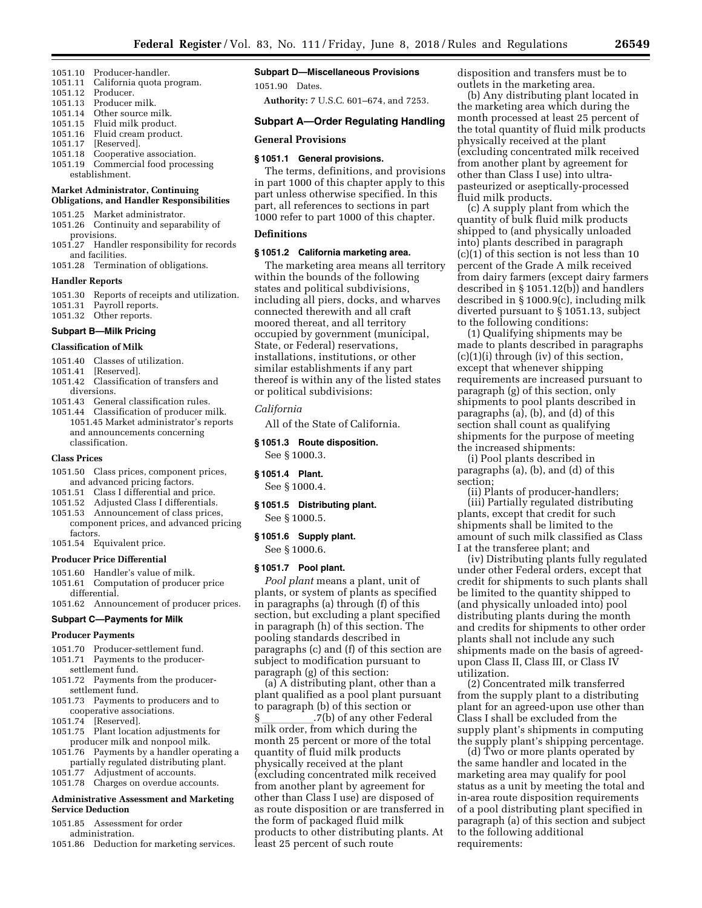- 1051.10 Producer-handler.
- 1051.11 California quota program.
- 1051.12 Producer.
- 1051.13 Producer milk.
- 1051.14 Other source milk.<br>1051.15 Fluid milk product
- 1051.15 Fluid milk product.<br>1051.16 Fluid cream produc Fluid cream product.
- 1051.17 [Reserved].
- 1051.18 Cooperative association.
- 1051.19 Commercial food processing establishment.

# **Market Administrator, Continuing**

# **Obligations, and Handler Responsibilities**

- 1051.25 Market administrator. 1051.26 Continuity and separability of provisions.
- 1051.27 Handler responsibility for records and facilities.
- 1051.28 Termination of obligations.

#### **Handler Reports**

- 1051.30 Reports of receipts and utilization.
- 1051.31 Payroll reports.
- 1051.32 Other reports.

# **Subpart B—Milk Pricing**

#### **Classification of Milk**

- 1051.40 Classes of utilization.
- 1051.41 [Reserved].
- 1051.42 Classification of transfers and diversions.
- 1051.43 General classification rules.
- 1051.44 Classification of producer milk. 1051.45 Market administrator's reports and announcements concerning classification.

#### **Class Prices**

- 1051.50 Class prices, component prices, and advanced pricing factors.
- 1051.51 Class I differential and price.<br>1051.52 Adjusted Class I differentials
- Adjusted Class I differentials.
- 1051.53 Announcement of class prices, component prices, and advanced pricing factors.
- 1051.54 Equivalent price.

#### **Producer Price Differential**

- 1051.60 Handler's value of milk.
- 1051.61 Computation of producer price differential.
- 1051.62 Announcement of producer prices.

# **Subpart C—Payments for Milk**

#### **Producer Payments**

- 1051.70 Producer-settlement fund.
- 1051.71 Payments to the producersettlement fund.
- 1051.72 Payments from the producersettlement fund.
- 1051.73 Payments to producers and to cooperative associations.
- 1051.74 [Reserved].
- 1051.75 Plant location adjustments for producer milk and nonpool milk.
- 1051.76 Payments by a handler operating a partially regulated distributing plant.
- 1051.77 Adjustment of accounts.
- 1051.78 Charges on overdue accounts.

# **Administrative Assessment and Marketing Service Deduction**

- 1051.85 Assessment for order
- administration.
- 1051.86 Deduction for marketing services.

# **Subpart D—Miscellaneous Provisions**

1051.90 Dates.

**Authority:** 7 U.S.C. 601–674, and 7253.

# **Subpart A—Order Regulating Handling**

#### **General Provisions**

# **§ 1051.1 General provisions.**

The terms, definitions, and provisions in part 1000 of this chapter apply to this part unless otherwise specified. In this part, all references to sections in part 1000 refer to part 1000 of this chapter.

#### **Definitions**

#### **§ 1051.2 California marketing area.**

The marketing area means all territory within the bounds of the following states and political subdivisions, including all piers, docks, and wharves connected therewith and all craft moored thereat, and all territory occupied by government (municipal, State, or Federal) reservations, installations, institutions, or other similar establishments if any part thereof is within any of the listed states or political subdivisions:

#### *California*

All of the State of California.

# **§ 1051.3 Route disposition.**  See § 1000.3.

- **§ 1051.4 Plant.**  See § 1000.4.
- **§ 1051.5 Distributing plant.**

See § 1000.5.

# **§ 1051.6 Supply plant.**  See § 1000.6.

#### **§ 1051.7 Pool plant.**

*Pool plant* means a plant, unit of plants, or system of plants as specified in paragraphs (a) through (f) of this section, but excluding a plant specified in paragraph (h) of this section. The pooling standards described in paragraphs (c) and (f) of this section are subject to modification pursuant to paragraph (g) of this section:

(a) A distributing plant, other than a plant qualified as a pool plant pursuant to paragraph (b) of this section or § \_\_\_\_\_\_\_\_\_.7(b) of any other Federal<br>milk order, from which during the month 25 percent or more of the total quantity of fluid milk products physically received at the plant (excluding concentrated milk received from another plant by agreement for other than Class I use) are disposed of as route disposition or are transferred in the form of packaged fluid milk products to other distributing plants. At least 25 percent of such route

disposition and transfers must be to outlets in the marketing area.

(b) Any distributing plant located in the marketing area which during the month processed at least 25 percent of the total quantity of fluid milk products physically received at the plant (excluding concentrated milk received from another plant by agreement for other than Class I use) into ultrapasteurized or aseptically-processed fluid milk products.

(c) A supply plant from which the quantity of bulk fluid milk products shipped to (and physically unloaded into) plants described in paragraph (c)(1) of this section is not less than 10 percent of the Grade A milk received from dairy farmers (except dairy farmers described in § 1051.12(b)) and handlers described in § 1000.9(c), including milk diverted pursuant to § 1051.13, subject to the following conditions:

(1) Qualifying shipments may be made to plants described in paragraphs  $(c)(1)(i)$  through  $(iv)$  of this section, except that whenever shipping requirements are increased pursuant to paragraph (g) of this section, only shipments to pool plants described in paragraphs (a), (b), and (d) of this section shall count as qualifying shipments for the purpose of meeting the increased shipments:

(i) Pool plants described in paragraphs (a), (b), and (d) of this section;

(ii) Plants of producer-handlers; (iii) Partially regulated distributing plants, except that credit for such shipments shall be limited to the amount of such milk classified as Class I at the transferee plant; and

(iv) Distributing plants fully regulated under other Federal orders, except that credit for shipments to such plants shall be limited to the quantity shipped to (and physically unloaded into) pool distributing plants during the month and credits for shipments to other order plants shall not include any such shipments made on the basis of agreedupon Class II, Class III, or Class IV utilization.

(2) Concentrated milk transferred from the supply plant to a distributing plant for an agreed-upon use other than Class I shall be excluded from the supply plant's shipments in computing the supply plant's shipping percentage.

(d) Two or more plants operated by the same handler and located in the marketing area may qualify for pool status as a unit by meeting the total and in-area route disposition requirements of a pool distributing plant specified in paragraph (a) of this section and subject to the following additional requirements: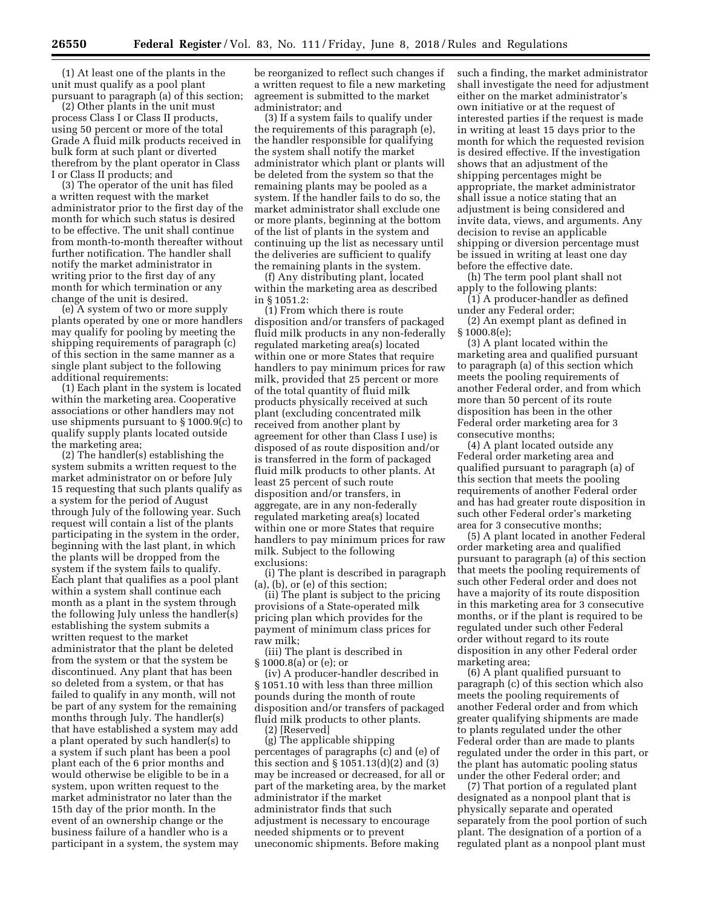(1) At least one of the plants in the unit must qualify as a pool plant pursuant to paragraph (a) of this section;

(2) Other plants in the unit must process Class I or Class II products, using 50 percent or more of the total Grade A fluid milk products received in bulk form at such plant or diverted therefrom by the plant operator in Class I or Class II products; and

(3) The operator of the unit has filed a written request with the market administrator prior to the first day of the month for which such status is desired to be effective. The unit shall continue from month-to-month thereafter without further notification. The handler shall notify the market administrator in writing prior to the first day of any month for which termination or any change of the unit is desired.

(e) A system of two or more supply plants operated by one or more handlers may qualify for pooling by meeting the shipping requirements of paragraph (c) of this section in the same manner as a single plant subject to the following additional requirements:

(1) Each plant in the system is located within the marketing area. Cooperative associations or other handlers may not use shipments pursuant to § 1000.9(c) to qualify supply plants located outside the marketing area;

(2) The handler(s) establishing the system submits a written request to the market administrator on or before July 15 requesting that such plants qualify as a system for the period of August through July of the following year. Such request will contain a list of the plants participating in the system in the order, beginning with the last plant, in which the plants will be dropped from the system if the system fails to qualify. Each plant that qualifies as a pool plant within a system shall continue each month as a plant in the system through the following July unless the handler(s) establishing the system submits a written request to the market administrator that the plant be deleted from the system or that the system be discontinued. Any plant that has been so deleted from a system, or that has failed to qualify in any month, will not be part of any system for the remaining months through July. The handler(s) that have established a system may add a plant operated by such handler(s) to a system if such plant has been a pool plant each of the 6 prior months and would otherwise be eligible to be in a system, upon written request to the market administrator no later than the 15th day of the prior month. In the event of an ownership change or the business failure of a handler who is a participant in a system, the system may

be reorganized to reflect such changes if a written request to file a new marketing agreement is submitted to the market administrator; and

(3) If a system fails to qualify under the requirements of this paragraph (e), the handler responsible for qualifying the system shall notify the market administrator which plant or plants will be deleted from the system so that the remaining plants may be pooled as a system. If the handler fails to do so, the market administrator shall exclude one or more plants, beginning at the bottom of the list of plants in the system and continuing up the list as necessary until the deliveries are sufficient to qualify the remaining plants in the system.

(f) Any distributing plant, located within the marketing area as described in § 1051.2:

(1) From which there is route disposition and/or transfers of packaged fluid milk products in any non-federally regulated marketing area(s) located within one or more States that require handlers to pay minimum prices for raw milk, provided that 25 percent or more of the total quantity of fluid milk products physically received at such plant (excluding concentrated milk received from another plant by agreement for other than Class I use) is disposed of as route disposition and/or is transferred in the form of packaged fluid milk products to other plants. At least 25 percent of such route disposition and/or transfers, in aggregate, are in any non-federally regulated marketing area(s) located within one or more States that require handlers to pay minimum prices for raw milk. Subject to the following exclusions:

(i) The plant is described in paragraph (a), (b), or (e) of this section;

(ii) The plant is subject to the pricing provisions of a State-operated milk pricing plan which provides for the payment of minimum class prices for raw milk;

(iii) The plant is described in § 1000.8(a) or (e); or

(iv) A producer-handler described in § 1051.10 with less than three million pounds during the month of route disposition and/or transfers of packaged fluid milk products to other plants. (2) [Reserved]

(g) The applicable shipping percentages of paragraphs (c) and (e) of this section and  $\S 1051.13(d)(2)$  and  $(3)$ may be increased or decreased, for all or part of the marketing area, by the market administrator if the market administrator finds that such adjustment is necessary to encourage needed shipments or to prevent uneconomic shipments. Before making

such a finding, the market administrator shall investigate the need for adjustment either on the market administrator's own initiative or at the request of interested parties if the request is made in writing at least 15 days prior to the month for which the requested revision is desired effective. If the investigation shows that an adjustment of the shipping percentages might be appropriate, the market administrator shall issue a notice stating that an adjustment is being considered and invite data, views, and arguments. Any decision to revise an applicable shipping or diversion percentage must be issued in writing at least one day before the effective date.

(h) The term pool plant shall not apply to the following plants:

(1) A producer-handler as defined under any Federal order;

(2) An exempt plant as defined in § 1000.8(e);

(3) A plant located within the marketing area and qualified pursuant to paragraph (a) of this section which meets the pooling requirements of another Federal order, and from which more than 50 percent of its route disposition has been in the other Federal order marketing area for 3 consecutive months;

(4) A plant located outside any Federal order marketing area and qualified pursuant to paragraph (a) of this section that meets the pooling requirements of another Federal order and has had greater route disposition in such other Federal order's marketing area for 3 consecutive months;

(5) A plant located in another Federal order marketing area and qualified pursuant to paragraph (a) of this section that meets the pooling requirements of such other Federal order and does not have a majority of its route disposition in this marketing area for 3 consecutive months, or if the plant is required to be regulated under such other Federal order without regard to its route disposition in any other Federal order marketing area;

(6) A plant qualified pursuant to paragraph (c) of this section which also meets the pooling requirements of another Federal order and from which greater qualifying shipments are made to plants regulated under the other Federal order than are made to plants regulated under the order in this part, or the plant has automatic pooling status under the other Federal order; and

(7) That portion of a regulated plant designated as a nonpool plant that is physically separate and operated separately from the pool portion of such plant. The designation of a portion of a regulated plant as a nonpool plant must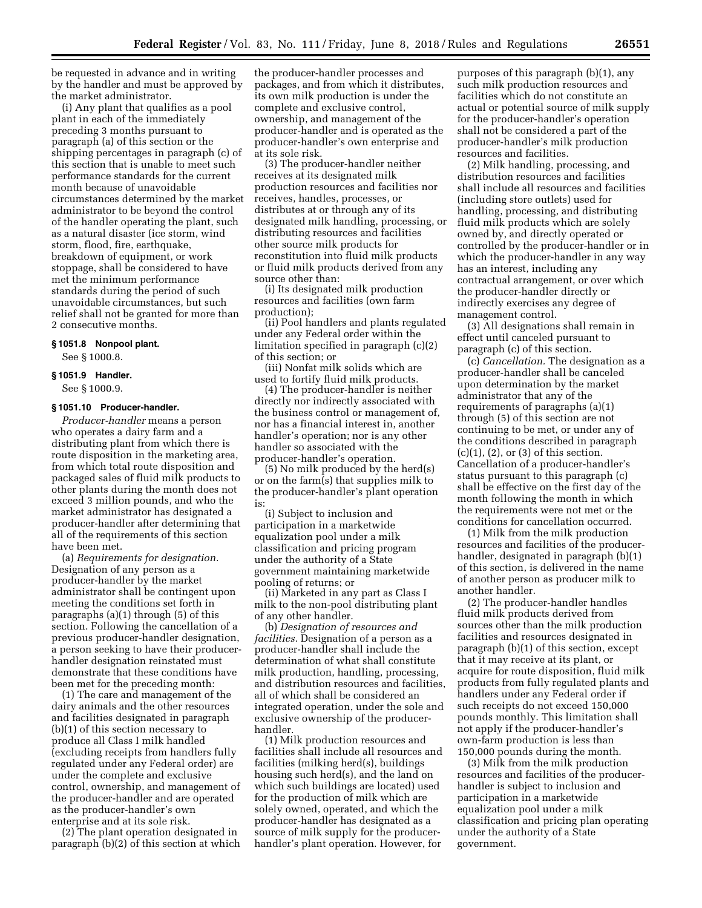be requested in advance and in writing by the handler and must be approved by the market administrator.

(i) Any plant that qualifies as a pool plant in each of the immediately preceding 3 months pursuant to paragraph (a) of this section or the shipping percentages in paragraph (c) of this section that is unable to meet such performance standards for the current month because of unavoidable circumstances determined by the market administrator to be beyond the control of the handler operating the plant, such as a natural disaster (ice storm, wind storm, flood, fire, earthquake, breakdown of equipment, or work stoppage, shall be considered to have met the minimum performance standards during the period of such unavoidable circumstances, but such relief shall not be granted for more than 2 consecutive months.

**§ 1051.8 Nonpool plant.**  See § 1000.8.

**§ 1051.9 Handler.** 

See § 1000.9.

# **§ 1051.10 Producer-handler.**

*Producer-handler* means a person who operates a dairy farm and a distributing plant from which there is route disposition in the marketing area, from which total route disposition and packaged sales of fluid milk products to other plants during the month does not exceed 3 million pounds, and who the market administrator has designated a producer-handler after determining that all of the requirements of this section have been met.

(a) *Requirements for designation.*  Designation of any person as a producer-handler by the market administrator shall be contingent upon meeting the conditions set forth in paragraphs (a)(1) through (5) of this section. Following the cancellation of a previous producer-handler designation, a person seeking to have their producerhandler designation reinstated must demonstrate that these conditions have been met for the preceding month:

(1) The care and management of the dairy animals and the other resources and facilities designated in paragraph (b)(1) of this section necessary to produce all Class I milk handled (excluding receipts from handlers fully regulated under any Federal order) are under the complete and exclusive control, ownership, and management of the producer-handler and are operated as the producer-handler's own enterprise and at its sole risk.

(2) The plant operation designated in paragraph (b)(2) of this section at which the producer-handler processes and packages, and from which it distributes, its own milk production is under the complete and exclusive control, ownership, and management of the producer-handler and is operated as the producer-handler's own enterprise and at its sole risk.

(3) The producer-handler neither receives at its designated milk production resources and facilities nor receives, handles, processes, or distributes at or through any of its designated milk handling, processing, or distributing resources and facilities other source milk products for reconstitution into fluid milk products or fluid milk products derived from any source other than:

(i) Its designated milk production resources and facilities (own farm production);

(ii) Pool handlers and plants regulated under any Federal order within the limitation specified in paragraph (c)(2) of this section; or

(iii) Nonfat milk solids which are used to fortify fluid milk products.

(4) The producer-handler is neither directly nor indirectly associated with the business control or management of, nor has a financial interest in, another handler's operation; nor is any other handler so associated with the producer-handler's operation.

(5) No milk produced by the herd(s) or on the farm(s) that supplies milk to the producer-handler's plant operation is:

(i) Subject to inclusion and participation in a marketwide equalization pool under a milk classification and pricing program under the authority of a State government maintaining marketwide pooling of returns; or

(ii) Marketed in any part as Class I milk to the non-pool distributing plant of any other handler.

(b) *Designation of resources and facilities.* Designation of a person as a producer-handler shall include the determination of what shall constitute milk production, handling, processing, and distribution resources and facilities, all of which shall be considered an integrated operation, under the sole and exclusive ownership of the producerhandler.

(1) Milk production resources and facilities shall include all resources and facilities (milking herd(s), buildings housing such herd(s), and the land on which such buildings are located) used for the production of milk which are solely owned, operated, and which the producer-handler has designated as a source of milk supply for the producerhandler's plant operation. However, for

purposes of this paragraph (b)(1), any such milk production resources and facilities which do not constitute an actual or potential source of milk supply for the producer-handler's operation shall not be considered a part of the producer-handler's milk production resources and facilities.

(2) Milk handling, processing, and distribution resources and facilities shall include all resources and facilities (including store outlets) used for handling, processing, and distributing fluid milk products which are solely owned by, and directly operated or controlled by the producer-handler or in which the producer-handler in any way has an interest, including any contractual arrangement, or over which the producer-handler directly or indirectly exercises any degree of management control.

(3) All designations shall remain in effect until canceled pursuant to paragraph (c) of this section.

(c) *Cancellation.* The designation as a producer-handler shall be canceled upon determination by the market administrator that any of the requirements of paragraphs (a)(1) through (5) of this section are not continuing to be met, or under any of the conditions described in paragraph  $(c)(1)$ ,  $(2)$ , or  $(3)$  of this section. Cancellation of a producer-handler's status pursuant to this paragraph (c) shall be effective on the first day of the month following the month in which the requirements were not met or the conditions for cancellation occurred.

(1) Milk from the milk production resources and facilities of the producerhandler, designated in paragraph (b)(1) of this section, is delivered in the name of another person as producer milk to another handler.

(2) The producer-handler handles fluid milk products derived from sources other than the milk production facilities and resources designated in paragraph (b)(1) of this section, except that it may receive at its plant, or acquire for route disposition, fluid milk products from fully regulated plants and handlers under any Federal order if such receipts do not exceed 150,000 pounds monthly. This limitation shall not apply if the producer-handler's own-farm production is less than 150,000 pounds during the month.

(3) Milk from the milk production resources and facilities of the producerhandler is subject to inclusion and participation in a marketwide equalization pool under a milk classification and pricing plan operating under the authority of a State government.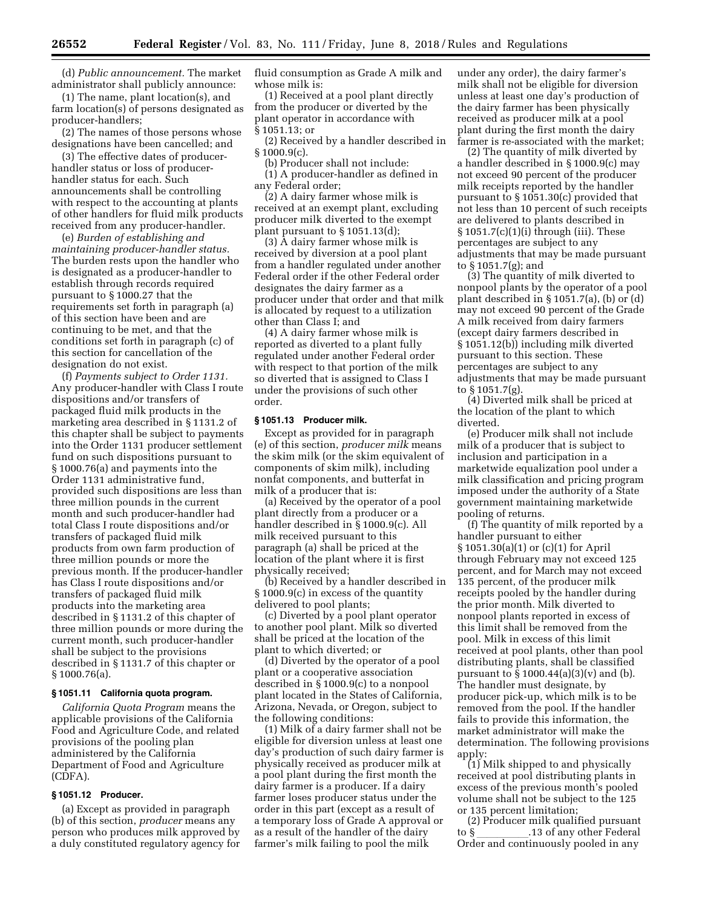(d) *Public announcement.* The market administrator shall publicly announce:

(1) The name, plant location(s), and farm location(s) of persons designated as producer-handlers;

(2) The names of those persons whose designations have been cancelled; and

(3) The effective dates of producerhandler status or loss of producerhandler status for each. Such announcements shall be controlling with respect to the accounting at plants of other handlers for fluid milk products received from any producer-handler.

(e) *Burden of establishing and maintaining producer-handler status.*  The burden rests upon the handler who is designated as a producer-handler to establish through records required pursuant to § 1000.27 that the requirements set forth in paragraph (a) of this section have been and are continuing to be met, and that the conditions set forth in paragraph (c) of this section for cancellation of the designation do not exist.

(f) *Payments subject to Order 1131.*  Any producer-handler with Class I route dispositions and/or transfers of packaged fluid milk products in the marketing area described in § 1131.2 of this chapter shall be subject to payments into the Order 1131 producer settlement fund on such dispositions pursuant to § 1000.76(a) and payments into the Order 1131 administrative fund, provided such dispositions are less than three million pounds in the current month and such producer-handler had total Class I route dispositions and/or transfers of packaged fluid milk products from own farm production of three million pounds or more the previous month. If the producer-handler has Class I route dispositions and/or transfers of packaged fluid milk products into the marketing area described in § 1131.2 of this chapter of three million pounds or more during the current month, such producer-handler shall be subject to the provisions described in § 1131.7 of this chapter or § 1000.76(a).

# **§ 1051.11 California quota program.**

*California Quota Program* means the applicable provisions of the California Food and Agriculture Code, and related provisions of the pooling plan administered by the California Department of Food and Agriculture (CDFA).

#### **§ 1051.12 Producer.**

(a) Except as provided in paragraph (b) of this section, *producer* means any person who produces milk approved by a duly constituted regulatory agency for fluid consumption as Grade A milk and whose milk is:

(1) Received at a pool plant directly from the producer or diverted by the plant operator in accordance with § 1051.13; or

(2) Received by a handler described in  $§ 1000.9(c).$ 

(b) Producer shall not include:

(1) A producer-handler as defined in any Federal order;

(2) A dairy farmer whose milk is received at an exempt plant, excluding producer milk diverted to the exempt plant pursuant to § 1051.13(d);

(3) A dairy farmer whose milk is received by diversion at a pool plant from a handler regulated under another Federal order if the other Federal order designates the dairy farmer as a producer under that order and that milk is allocated by request to a utilization other than Class I; and

(4) A dairy farmer whose milk is reported as diverted to a plant fully regulated under another Federal order with respect to that portion of the milk so diverted that is assigned to Class I under the provisions of such other order.

#### **§ 1051.13 Producer milk.**

Except as provided for in paragraph (e) of this section, *producer milk* means the skim milk (or the skim equivalent of components of skim milk), including nonfat components, and butterfat in milk of a producer that is:

(a) Received by the operator of a pool plant directly from a producer or a handler described in § 1000.9(c). All milk received pursuant to this paragraph (a) shall be priced at the location of the plant where it is first physically received;

(b) Received by a handler described in § 1000.9(c) in excess of the quantity delivered to pool plants;

(c) Diverted by a pool plant operator to another pool plant. Milk so diverted shall be priced at the location of the plant to which diverted; or

(d) Diverted by the operator of a pool plant or a cooperative association described in § 1000.9(c) to a nonpool plant located in the States of California, Arizona, Nevada, or Oregon, subject to the following conditions:

(1) Milk of a dairy farmer shall not be eligible for diversion unless at least one day's production of such dairy farmer is physically received as producer milk at a pool plant during the first month the dairy farmer is a producer. If a dairy farmer loses producer status under the order in this part (except as a result of a temporary loss of Grade A approval or as a result of the handler of the dairy farmer's milk failing to pool the milk

under any order), the dairy farmer's milk shall not be eligible for diversion unless at least one day's production of the dairy farmer has been physically received as producer milk at a pool plant during the first month the dairy farmer is re-associated with the market;

(2) The quantity of milk diverted by a handler described in § 1000.9(c) may not exceed 90 percent of the producer milk receipts reported by the handler pursuant to § 1051.30(c) provided that not less than 10 percent of such receipts are delivered to plants described in § 1051.7(c)(1)(i) through (iii). These percentages are subject to any adjustments that may be made pursuant to § 1051.7(g); and

(3) The quantity of milk diverted to nonpool plants by the operator of a pool plant described in § 1051.7(a), (b) or (d) may not exceed 90 percent of the Grade A milk received from dairy farmers (except dairy farmers described in § 1051.12(b)) including milk diverted pursuant to this section. These percentages are subject to any adjustments that may be made pursuant to § 1051.7(g).

(4) Diverted milk shall be priced at the location of the plant to which diverted.

(e) Producer milk shall not include milk of a producer that is subject to inclusion and participation in a marketwide equalization pool under a milk classification and pricing program imposed under the authority of a State government maintaining marketwide pooling of returns.

(f) The quantity of milk reported by a handler pursuant to either § 1051.30(a)(1) or (c)(1) for April through February may not exceed 125 percent, and for March may not exceed 135 percent, of the producer milk receipts pooled by the handler during the prior month. Milk diverted to nonpool plants reported in excess of this limit shall be removed from the pool. Milk in excess of this limit received at pool plants, other than pool distributing plants, shall be classified pursuant to  $\S 1000.44(a)(3)(v)$  and (b). The handler must designate, by producer pick-up, which milk is to be removed from the pool. If the handler fails to provide this information, the market administrator will make the determination. The following provisions apply:

(1) Milk shipped to and physically received at pool distributing plants in excess of the previous month's pooled volume shall not be subject to the 125 or 135 percent limitation;

(2) Producer milk qualified pursuant to § \_\_\_\_\_\_\_\_\_\_.13 of any other Federal<br>Order and continuously pooled in any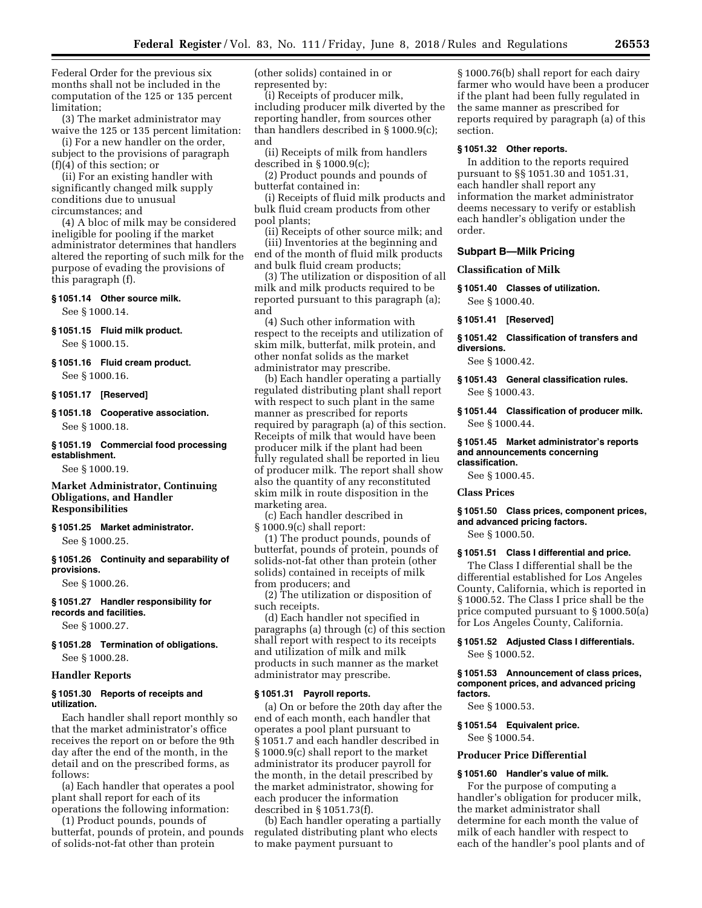Federal Order for the previous six months shall not be included in the computation of the 125 or 135 percent limitation;

(3) The market administrator may waive the 125 or 135 percent limitation:

(i) For a new handler on the order, subject to the provisions of paragraph (f)(4) of this section; or

(ii) For an existing handler with significantly changed milk supply conditions due to unusual circumstances; and

(4) A bloc of milk may be considered ineligible for pooling if the market administrator determines that handlers altered the reporting of such milk for the purpose of evading the provisions of this paragraph (f).

#### **§ 1051.14 Other source milk.**

See § 1000.14.

- **§ 1051.15 Fluid milk product.**  See § 1000.15.
- **§ 1051.16 Fluid cream product.**  See § 1000.16.

#### **§ 1051.17 [Reserved]**

- **§ 1051.18 Cooperative association.**  See § 1000.18.
- **§ 1051.19 Commercial food processing establishment.**

See § 1000.19.

**Market Administrator, Continuing Obligations, and Handler Responsibilities** 

- **§ 1051.25 Market administrator.**  See § 1000.25.
- **§ 1051.26 Continuity and separability of provisions.**

See § 1000.26.

#### **§ 1051.27 Handler responsibility for records and facilities.**

See § 1000.27.

**§ 1051.28 Termination of obligations.**  See § 1000.28.

#### **Handler Reports**

# **§ 1051.30 Reports of receipts and utilization.**

Each handler shall report monthly so that the market administrator's office receives the report on or before the 9th day after the end of the month, in the detail and on the prescribed forms, as follows:

(a) Each handler that operates a pool plant shall report for each of its operations the following information:

(1) Product pounds, pounds of butterfat, pounds of protein, and pounds of solids-not-fat other than protein

(other solids) contained in or represented by:

(i) Receipts of producer milk, including producer milk diverted by the reporting handler, from sources other than handlers described in § 1000.9(c); and

(ii) Receipts of milk from handlers described in § 1000.9(c);

(2) Product pounds and pounds of butterfat contained in:

(i) Receipts of fluid milk products and bulk fluid cream products from other pool plants;

(ii) Receipts of other source milk; and (iii) Inventories at the beginning and end of the month of fluid milk products and bulk fluid cream products;

(3) The utilization or disposition of all milk and milk products required to be reported pursuant to this paragraph (a); and

(4) Such other information with respect to the receipts and utilization of skim milk, butterfat, milk protein, and other nonfat solids as the market administrator may prescribe.

(b) Each handler operating a partially regulated distributing plant shall report with respect to such plant in the same manner as prescribed for reports required by paragraph (a) of this section. Receipts of milk that would have been producer milk if the plant had been fully regulated shall be reported in lieu of producer milk. The report shall show also the quantity of any reconstituted skim milk in route disposition in the marketing area.

(c) Each handler described in § 1000.9(c) shall report:

(1) The product pounds, pounds of butterfat, pounds of protein, pounds of solids-not-fat other than protein (other solids) contained in receipts of milk from producers; and

(2) The utilization or disposition of such receipts.

(d) Each handler not specified in paragraphs (a) through (c) of this section shall report with respect to its receipts and utilization of milk and milk products in such manner as the market administrator may prescribe.

# **§ 1051.31 Payroll reports.**

(a) On or before the 20th day after the end of each month, each handler that operates a pool plant pursuant to § 1051.7 and each handler described in § 1000.9(c) shall report to the market administrator its producer payroll for the month, in the detail prescribed by the market administrator, showing for each producer the information described in § 1051.73(f).

(b) Each handler operating a partially regulated distributing plant who elects to make payment pursuant to

§ 1000.76(b) shall report for each dairy farmer who would have been a producer if the plant had been fully regulated in the same manner as prescribed for reports required by paragraph (a) of this section.

# **§ 1051.32 Other reports.**

In addition to the reports required pursuant to §§ 1051.30 and 1051.31, each handler shall report any information the market administrator deems necessary to verify or establish each handler's obligation under the order.

# **Subpart B—Milk Pricing**

# **Classification of Milk**

**§ 1051.40 Classes of utilization.**  See § 1000.40.

**§ 1051.41 [Reserved]** 

**§ 1051.42 Classification of transfers and diversions.** 

See § 1000.42.

**§ 1051.43 General classification rules.**  See § 1000.43.

**§ 1051.44 Classification of producer milk.**  See § 1000.44.

#### **§ 1051.45 Market administrator's reports and announcements concerning classification.**

See § 1000.45.

# **Class Prices**

**§ 1051.50 Class prices, component prices, and advanced pricing factors.**  See § 1000.50.

**§ 1051.51 Class I differential and price.** 

The Class I differential shall be the differential established for Los Angeles County, California, which is reported in § 1000.52. The Class I price shall be the price computed pursuant to § 1000.50(a) for Los Angeles County, California.

**§ 1051.52 Adjusted Class I differentials.**  See § 1000.52.

#### **§ 1051.53 Announcement of class prices, component prices, and advanced pricing factors.**

See § 1000.53.

**§ 1051.54 Equivalent price.** 

See § 1000.54.

# **Producer Price Differential**

# **§ 1051.60 Handler's value of milk.**

For the purpose of computing a handler's obligation for producer milk, the market administrator shall determine for each month the value of milk of each handler with respect to each of the handler's pool plants and of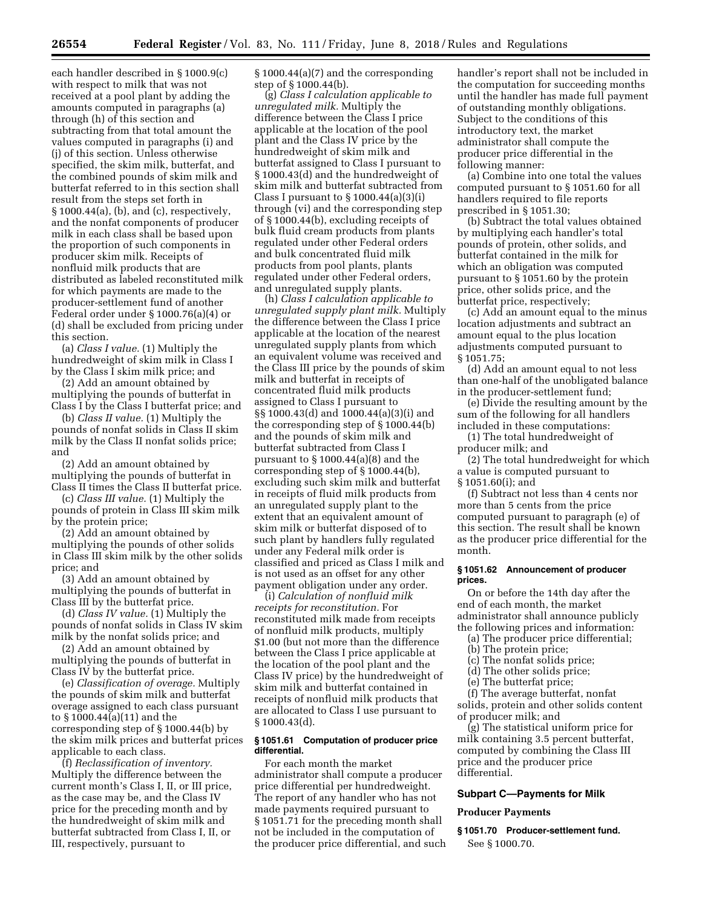each handler described in § 1000.9(c) with respect to milk that was not received at a pool plant by adding the amounts computed in paragraphs (a) through (h) of this section and subtracting from that total amount the values computed in paragraphs (i) and (j) of this section. Unless otherwise specified, the skim milk, butterfat, and the combined pounds of skim milk and butterfat referred to in this section shall result from the steps set forth in § 1000.44(a), (b), and (c), respectively, and the nonfat components of producer milk in each class shall be based upon the proportion of such components in producer skim milk. Receipts of nonfluid milk products that are distributed as labeled reconstituted milk for which payments are made to the producer-settlement fund of another Federal order under § 1000.76(a)(4) or (d) shall be excluded from pricing under this section.

(a) *Class I value.* (1) Multiply the hundredweight of skim milk in Class I by the Class I skim milk price; and

(2) Add an amount obtained by multiplying the pounds of butterfat in Class I by the Class I butterfat price; and

(b) *Class II value.* (1) Multiply the pounds of nonfat solids in Class II skim milk by the Class II nonfat solids price; and

(2) Add an amount obtained by multiplying the pounds of butterfat in Class II times the Class II butterfat price.

(c) *Class III value.* (1) Multiply the pounds of protein in Class III skim milk by the protein price;

(2) Add an amount obtained by multiplying the pounds of other solids in Class III skim milk by the other solids price; and

(3) Add an amount obtained by multiplying the pounds of butterfat in Class III by the butterfat price.

(d) *Class IV value.* (1) Multiply the pounds of nonfat solids in Class IV skim milk by the nonfat solids price; and

(2) Add an amount obtained by multiplying the pounds of butterfat in Class IV by the butterfat price.

(e) *Classification of overage.* Multiply the pounds of skim milk and butterfat overage assigned to each class pursuant to § 1000.44(a)(11) and the corresponding step of § 1000.44(b) by the skim milk prices and butterfat prices applicable to each class.

(f) *Reclassification of inventory.*  Multiply the difference between the current month's Class I, II, or III price, as the case may be, and the Class IV price for the preceding month and by the hundredweight of skim milk and butterfat subtracted from Class I, II, or III, respectively, pursuant to

§ 1000.44(a)(7) and the corresponding step of § 1000.44(b).

(g) *Class I calculation applicable to unregulated milk.* Multiply the difference between the Class I price applicable at the location of the pool plant and the Class IV price by the hundredweight of skim milk and butterfat assigned to Class I pursuant to § 1000.43(d) and the hundredweight of skim milk and butterfat subtracted from Class I pursuant to  $\S 1000.44(a)(3)(i)$ through (vi) and the corresponding step of § 1000.44(b), excluding receipts of bulk fluid cream products from plants regulated under other Federal orders and bulk concentrated fluid milk products from pool plants, plants regulated under other Federal orders, and unregulated supply plants.

(h) *Class I calculation applicable to unregulated supply plant milk.* Multiply the difference between the Class I price applicable at the location of the nearest unregulated supply plants from which an equivalent volume was received and the Class III price by the pounds of skim milk and butterfat in receipts of concentrated fluid milk products assigned to Class I pursuant to §§ 1000.43(d) and 1000.44(a)(3)(i) and the corresponding step of § 1000.44(b) and the pounds of skim milk and butterfat subtracted from Class I pursuant to  $\S 1000.44(a)(8)$  and the corresponding step of § 1000.44(b), excluding such skim milk and butterfat in receipts of fluid milk products from an unregulated supply plant to the extent that an equivalent amount of skim milk or butterfat disposed of to such plant by handlers fully regulated under any Federal milk order is classified and priced as Class I milk and is not used as an offset for any other payment obligation under any order.

(i) *Calculation of nonfluid milk receipts for reconstitution.* For reconstituted milk made from receipts of nonfluid milk products, multiply \$1.00 (but not more than the difference between the Class I price applicable at the location of the pool plant and the Class IV price) by the hundredweight of skim milk and butterfat contained in receipts of nonfluid milk products that are allocated to Class I use pursuant to  $§ 1000.43(d).$ 

#### **§ 1051.61 Computation of producer price differential.**

For each month the market administrator shall compute a producer price differential per hundredweight. The report of any handler who has not made payments required pursuant to § 1051.71 for the preceding month shall not be included in the computation of the producer price differential, and such handler's report shall not be included in the computation for succeeding months until the handler has made full payment of outstanding monthly obligations. Subject to the conditions of this introductory text, the market administrator shall compute the producer price differential in the following manner:

(a) Combine into one total the values computed pursuant to § 1051.60 for all handlers required to file reports prescribed in § 1051.30;

(b) Subtract the total values obtained by multiplying each handler's total pounds of protein, other solids, and butterfat contained in the milk for which an obligation was computed pursuant to § 1051.60 by the protein price, other solids price, and the butterfat price, respectively;

(c) Add an amount equal to the minus location adjustments and subtract an amount equal to the plus location adjustments computed pursuant to § 1051.75;

(d) Add an amount equal to not less than one-half of the unobligated balance in the producer-settlement fund;

(e) Divide the resulting amount by the sum of the following for all handlers included in these computations:

(1) The total hundredweight of producer milk; and

(2) The total hundredweight for which a value is computed pursuant to § 1051.60(i); and

(f) Subtract not less than 4 cents nor more than 5 cents from the price computed pursuant to paragraph (e) of this section. The result shall be known as the producer price differential for the month.

#### **§ 1051.62 Announcement of producer prices.**

On or before the 14th day after the end of each month, the market administrator shall announce publicly the following prices and information:

- (a) The producer price differential;
- (b) The protein price;
- (c) The nonfat solids price;
- (d) The other solids price;
- (e) The butterfat price;
- (f) The average butterfat, nonfat

solids, protein and other solids content of producer milk; and

(g) The statistical uniform price for milk containing 3.5 percent butterfat, computed by combining the Class III price and the producer price differential.

# **Subpart C—Payments for Milk**

#### **Producer Payments**

**§ 1051.70 Producer-settlement fund.**  See § 1000.70.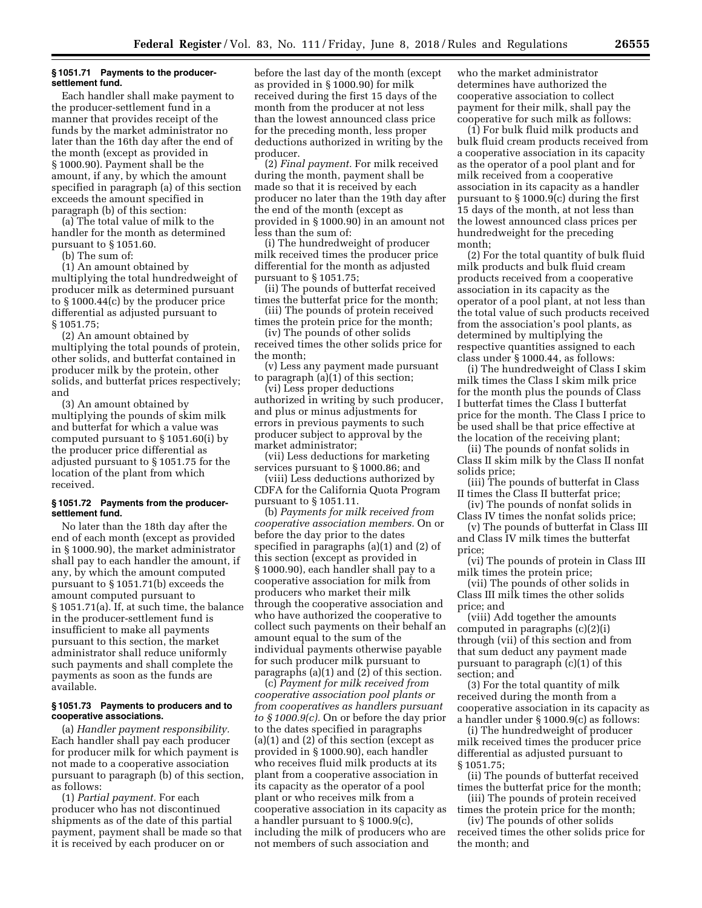#### **§ 1051.71 Payments to the producersettlement fund.**

Each handler shall make payment to the producer-settlement fund in a manner that provides receipt of the funds by the market administrator no later than the 16th day after the end of the month (except as provided in § 1000.90). Payment shall be the amount, if any, by which the amount specified in paragraph (a) of this section exceeds the amount specified in paragraph (b) of this section:

(a) The total value of milk to the handler for the month as determined pursuant to § 1051.60.

(b) The sum of:

(1) An amount obtained by multiplying the total hundredweight of producer milk as determined pursuant to § 1000.44(c) by the producer price differential as adjusted pursuant to § 1051.75;

(2) An amount obtained by multiplying the total pounds of protein, other solids, and butterfat contained in producer milk by the protein, other solids, and butterfat prices respectively; and

(3) An amount obtained by multiplying the pounds of skim milk and butterfat for which a value was computed pursuant to § 1051.60(i) by the producer price differential as adjusted pursuant to § 1051.75 for the location of the plant from which received.

# **§ 1051.72 Payments from the producersettlement fund.**

No later than the 18th day after the end of each month (except as provided in § 1000.90), the market administrator shall pay to each handler the amount, if any, by which the amount computed pursuant to § 1051.71(b) exceeds the amount computed pursuant to § 1051.71(a). If, at such time, the balance in the producer-settlement fund is insufficient to make all payments pursuant to this section, the market administrator shall reduce uniformly such payments and shall complete the payments as soon as the funds are available.

# **§ 1051.73 Payments to producers and to cooperative associations.**

(a) *Handler payment responsibility.*  Each handler shall pay each producer for producer milk for which payment is not made to a cooperative association pursuant to paragraph (b) of this section, as follows:

(1) *Partial payment.* For each producer who has not discontinued shipments as of the date of this partial payment, payment shall be made so that it is received by each producer on or

before the last day of the month (except as provided in § 1000.90) for milk received during the first 15 days of the month from the producer at not less than the lowest announced class price for the preceding month, less proper deductions authorized in writing by the producer.

(2) *Final payment.* For milk received during the month, payment shall be made so that it is received by each producer no later than the 19th day after the end of the month (except as provided in § 1000.90) in an amount not less than the sum of:

(i) The hundredweight of producer milk received times the producer price differential for the month as adjusted pursuant to § 1051.75;

(ii) The pounds of butterfat received times the butterfat price for the month;

(iii) The pounds of protein received times the protein price for the month;

(iv) The pounds of other solids received times the other solids price for the month;

(v) Less any payment made pursuant to paragraph (a)(1) of this section;

(vi) Less proper deductions authorized in writing by such producer, and plus or minus adjustments for errors in previous payments to such producer subject to approval by the market administrator;

(vii) Less deductions for marketing services pursuant to § 1000.86; and

(viii) Less deductions authorized by CDFA for the California Quota Program pursuant to § 1051.11.

(b) *Payments for milk received from cooperative association members.* On or before the day prior to the dates specified in paragraphs (a)(1) and (2) of this section (except as provided in § 1000.90), each handler shall pay to a cooperative association for milk from producers who market their milk through the cooperative association and who have authorized the cooperative to collect such payments on their behalf an amount equal to the sum of the individual payments otherwise payable for such producer milk pursuant to paragraphs (a)(1) and (2) of this section.

(c) *Payment for milk received from cooperative association pool plants or from cooperatives as handlers pursuant to § 1000.9(c).* On or before the day prior to the dates specified in paragraphs (a)(1) and (2) of this section (except as provided in § 1000.90), each handler who receives fluid milk products at its plant from a cooperative association in its capacity as the operator of a pool plant or who receives milk from a cooperative association in its capacity as a handler pursuant to § 1000.9(c), including the milk of producers who are not members of such association and

who the market administrator determines have authorized the cooperative association to collect payment for their milk, shall pay the cooperative for such milk as follows:

(1) For bulk fluid milk products and bulk fluid cream products received from a cooperative association in its capacity as the operator of a pool plant and for milk received from a cooperative association in its capacity as a handler pursuant to § 1000.9(c) during the first 15 days of the month, at not less than the lowest announced class prices per hundredweight for the preceding month;

(2) For the total quantity of bulk fluid milk products and bulk fluid cream products received from a cooperative association in its capacity as the operator of a pool plant, at not less than the total value of such products received from the association's pool plants, as determined by multiplying the respective quantities assigned to each class under § 1000.44, as follows:

(i) The hundredweight of Class I skim milk times the Class I skim milk price for the month plus the pounds of Class I butterfat times the Class I butterfat price for the month. The Class I price to be used shall be that price effective at the location of the receiving plant;

(ii) The pounds of nonfat solids in Class II skim milk by the Class II nonfat solids price;

(iii) The pounds of butterfat in Class II times the Class II butterfat price;

(iv) The pounds of nonfat solids in Class IV times the nonfat solids price;

(v) The pounds of butterfat in Class III and Class IV milk times the butterfat price;

(vi) The pounds of protein in Class III milk times the protein price;

(vii) The pounds of other solids in Class III milk times the other solids price; and

(viii) Add together the amounts computed in paragraphs (c)(2)(i) through (vii) of this section and from that sum deduct any payment made pursuant to paragraph (c)(1) of this section; and

(3) For the total quantity of milk received during the month from a cooperative association in its capacity as a handler under § 1000.9(c) as follows:

(i) The hundredweight of producer milk received times the producer price differential as adjusted pursuant to § 1051.75;

(ii) The pounds of butterfat received times the butterfat price for the month; (iii) The pounds of protein received

times the protein price for the month; (iv) The pounds of other solids

received times the other solids price for the month; and